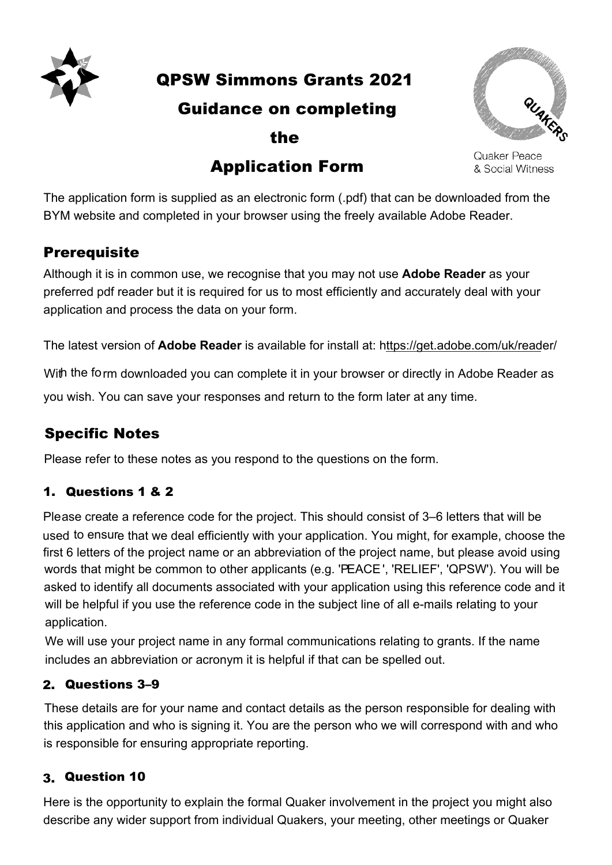

QPSW Simmons Grants 2021

### Guidance on completing

the

# Application Form



Quaker Peace & Social Witness

The application form is supplied as an electronic form (.pdf) that can be downloaded from the application form to capplica as an electronic form (.par) that can be downloaded it.<br>BYM website and completed in your browser using the freely available Adobe Reader. In website and completed in your prowser using the freely available Adobe Reader. *QPSW Relief Grant*

## **Prerequisite that is available.** The alternative Word (.doc) version that is available.

Although it is in common use, we recognise that you may not use Adobe Reader as your preferred pdf reader but it is required for us to most efficiently and accurately deal with your application and process the data on your form. you can complete the alternative Word (.doc) version that is available.

The latest version of **Adobe Reader** is available for install at: https://get.adobe.com/uk/reader/

With the form downloaded you can complete it in your browser or directly in Adobe Reader as you wish. You can save your responses and return to the form later at any time. *responsible for ensuring appropriate reporting)* 

# Specific Notes

Please refer to these notes as you respond to the questions on the form.

### 1. Questions 1 & 2

Please create a reference code for the project. This should consist of 3-6 letters that will be used to ensure that we deal efficiently with your application. You might, for example, choose the first 6 letters of the project name or an abbreviation of the project name, but please avoid using words that might be common to other applicants (e.g. 'PEACE', 'RELIEF', 'QPSW'). You will be asked to identify all documents associated with your application using this reference code and it will be helpful if you use the reference code in the subject line of all e-mails relating to your application.  $\sim$  IICI

We will use your project name in any formal communications relating to grants. If the name includes an abbreviation or acronym it is helpful if that can be spelled out. Meeting

#### 2. Questions 3–9  $Q$ uestions  $3-9$

These details are for your name and contact details as the person responsible for dealing with this application and who is signing it. You are the person who we will correspond with and who is responsible for ensuring appropriate reporting.

#### 3. Question 10

Here is the opportunity to explain the formal Quaker involvement in the project you might also describe any wider support from individual Quakers, your meeting, other meetings or Quaker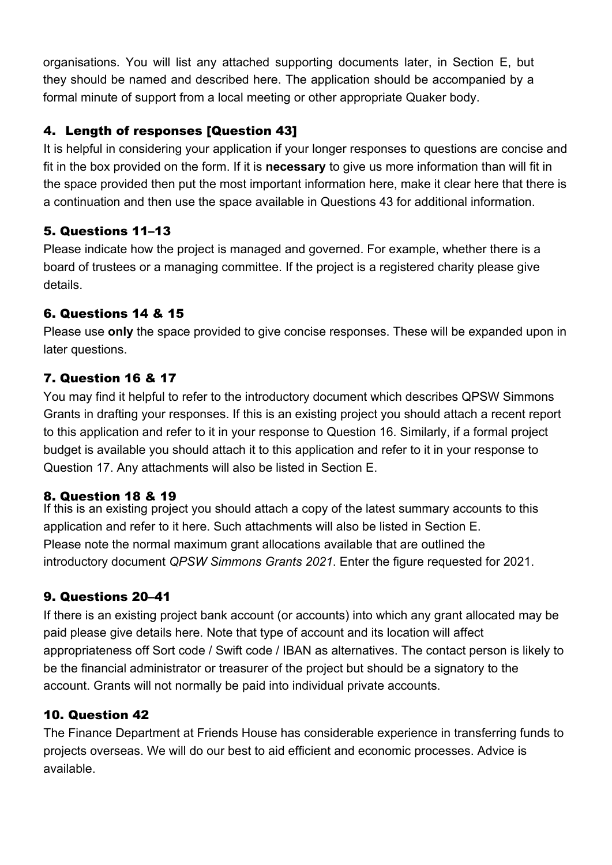organisations. You will list any attached supporting documents later, in Section E, but they should be named and described here. The application should be accompanied by a formal minute of support from a local meeting or other appropriate Quaker body.

### 4. Length of responses [Question 43]

It is helpful in considering your application if your longer responses to questions are concise and fit in the box provided on the form. If it is **necessary** to give us more information than will fit in the space provided then put the most important information here, make it clear here that there is a continuation and then use the space available in Questions 43 for additional information.

#### 5. Questions 11–13

Please indicate how the project is managed and governed. For example, whether there is a board of trustees or a managing committee. If the project is a registered charity please give details.

#### 6. Questions 14 & 15

Please use **only** the space provided to give concise responses. These will be expanded upon in later questions.

#### 7. Question 16 & 17

You may find it helpful to refer to the introductory document which describes QPSW Simmons Grants in drafting your responses. If this is an existing project you should attach a recent report to this application and refer to it in your response to Question 16. Similarly, if a formal project budget is available you should attach it to this application and refer to it in your response to Question 17. Any attachments will also be listed in Section E.

#### 8. Question 18 & 19

If this is an existing project you should attach a copy of the latest summary accounts to this application and refer to it here. Such attachments will also be listed in Section E. Please note the normal maximum grant allocations available that are outlined the introductory document *QPSW Simmons Grants 2021*. Enter the figure requested for 2021.

#### 9. Questions 20–41

If there is an existing project bank account (or accounts) into which any grant allocated may be paid please give details here. Note that type of account and its location will affect appropriateness off Sort code / Swift code / IBAN as alternatives. The contact person is likely to be the financial administrator or treasurer of the project but should be a signatory to the account. Grants will not normally be paid into individual private accounts.

### 10. Question 42

The Finance Department at Friends House has considerable experience in transferring funds to projects overseas. We will do our best to aid efficient and economic processes. Advice is available.